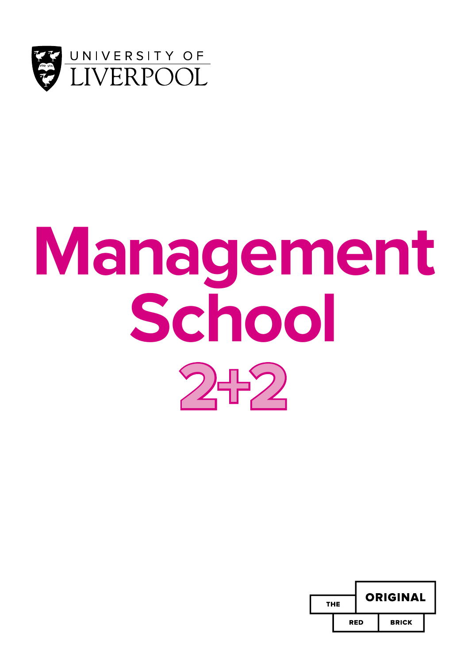

# **Management School 2+2**

| THE |     | <b>ORIGINAL</b> |              |  |
|-----|-----|-----------------|--------------|--|
|     | RED |                 | <b>BRICK</b> |  |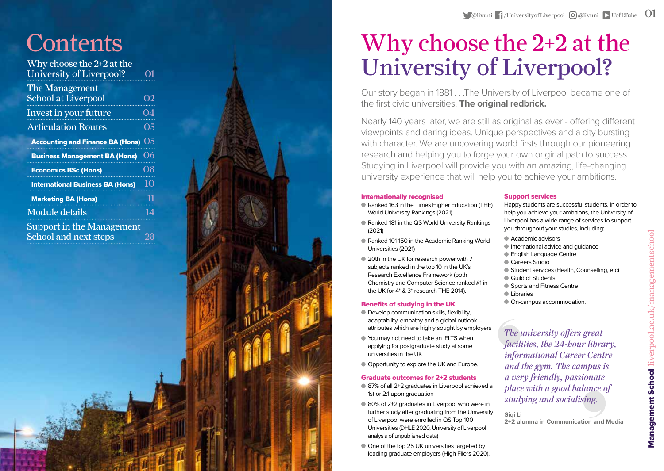| Why choose the $2+2$ at the             |                      |
|-----------------------------------------|----------------------|
| University of Liverpool?                | O1                   |
| The Management                          |                      |
| <b>School at Liverpool</b>              | <b>O<sub>2</sub></b> |
| Invest in your future                   | 04                   |
| <b>Articulation Routes</b>              | O <sub>5</sub>       |
| <b>Accounting and Finance BA (Hons)</b> | 05                   |
| <b>Business Management BA (Hons)</b>    | 06                   |
|                                         |                      |
| <b>Economics BSc (Hons)</b>             | 08                   |
| <b>International Business BA (Hons)</b> | 10                   |
| <b>Marketing BA (Hons)</b>              | 11                   |
| <b>Module details</b>                   | 14                   |
| Support in the Management               |                      |
| <b>School and next steps</b>            |                      |



## Why choose the 2+2 at the University of Liverpool?

Our story began in 1881 . . .The University of Liverpool became one of the first civic universities. **The original redbrick.** 

Nearly 140 years later, we are still as original as ever - offering different viewpoints and daring ideas. Unique perspectives and a city bursting with character. We are uncovering world firsts through our pioneering research and helping you to forge your own original path to success. Studying in Liverpool will provide you with an amazing, life-changing university experience that will help you to achieve your ambitions.

#### Internationally recognised

- Ranked 163 in the Times Higher Education (THE) World University Rankings (2021)
- Ranked 181 in the QS World University Rankings (2021)
- Ranked 101-150 in the Academic Ranking World Universities (2021)
- $\bullet$  20th in the UK for research power with 7 subjects ranked in the top 10 in the UK's Research Excellence Framework (both Chemistry and Computer Science ranked #1 in the UK for 4\* & 3\* research THE 2014).

#### Benefits of studying in the UK

- Develop communication skills, flexibility, adaptability, empathy and a global outlook – attributes which are highly sought by employers
- You may not need to take an IELTS when applying for postgraduate study at some universities in the UK
- Opportunity to explore the UK and Europe.

#### Graduate outcomes for 2+2 students

- 87% of all 2+2 graduates in Liverpool achieved a 1st or 2:1 upon graduation
- 80% of 2+2 graduates in Liverpool who were in further study after graduating from the University of Liverpool were enrolled in QS Top 100 Universities (DHLE 2020, University of Liverpool analysis of unpublished data)
- $\bullet$  One of the top 25 UK universities targeted by leading graduate employers (High Fliers 2020).

#### Support services

Happy students are successful students. In order to help you achieve your ambitions, the University of Liverpool has a wide range of services to support you throughout your studies, including:

- **Academic advisors**
- $\bullet$  International advice and guidance
- **English Language Centre**
- **Careers Studio**
- Student services (Health, Counselling, etc)
- Guild of Students
- Sports and Fitness Centre
- **I** Libraries
- $\bullet$  On-campus accommodation.

#### *The university offers great facilities, the 24-hour library, informational Career Centre and the gym. The campus is a very friendly, passionate place with a good balance of studying and socialising.*

**Siqi Li 2+2 alumna in Communication and Media**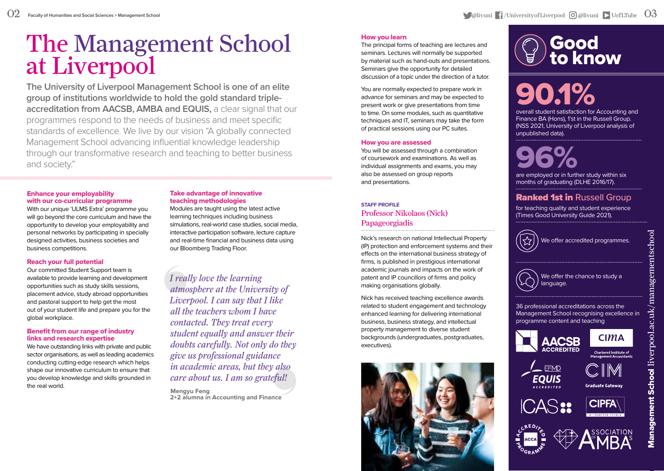# The Management School at Liverpool

**The University of Liverpool Management School is one of an elite group of institutions worldwide to hold the gold standard tripleaccreditation from AACSB, AMBA and EQUIS, a clear signal that our** programmes respond to the needs of business and meet specific standards of excellence. We live by our vision "A globally connected Management School advancing influential knowledge leadership through our transformative research and teaching to better business and society."

#### Enhance your employability with our co-curricular programme

With our unique 'ULMS Extra' programme you will go beyond the core curriculum and have the opportunity to develop your employability and personal networks by participating in specially designed activities, business societies and business competitions.

#### Reach your full potential

Our committed Student Support team is available to provide learning and development opportunities such as study skills sessions, placement advice, study abroad opportunities and pastoral support to help get the most out of your student life and prepare you for the global workplace.

#### Benefit from our range of industry links and research expertise

We have outstanding links with private and public sector organisations, as well as leading academics conducting cutting-edge research which helps shape our innovative curriculum to ensure that you develop knowledge and skills grounded in the real world.

#### Take advantage of innovative teaching methodologies

Modules are taught using the latest active learning techniques including business simulations, real-world case studies, social media, interactive participation software, lecture capture and real-time financial and business data using our Bloomberg Trading Floor.

*I really love the learning atmosphere at the University of Liverpool. I can say that I like all the teachers whom I have contacted. They treat every student equally and answer their doubts carefully. Not only do they give us professional guidance in academic areas, but they also care about us. I am so grateful!*

**Mengyu Feng 2+2 alumna in Accounting and Finance**

#### How you learn

The principal forms of teaching are lectures and seminars. Lectures will normally be supported by material such as hand-outs and presentations. Seminars give the opportunity for detailed discussion of a topic under the direction of a tutor.

You are normally expected to prepare work in advance for seminars and may be expected to present work or give presentations from time to time. On some modules, such as quantitative techniques and IT, seminars may take the form of practical sessions using our PC suites.

#### How you are assessed

You will be assessed through a combination of coursework and examinations. As well as individual assignments and exams, you may also be assessed on group reports and presentations.

#### **STAFF PROFILE** Professor Nikolaos (Nick) Papageorgiadis

Nick's research on national Intellectual Property (IP) protection and enforcement systems and their effects on the international business strategy of firms, is published in prestigious international academic journals and impacts on the work of patent and IP councillors of firms and policy making organisations globally.

Nick has received teaching excellence awards related to student engagement and technology enhanced learning for delivering international business, business strategy, and intellectual property management to diverse student backgrounds (undergraduates, postgraduates, executives).



## Good to know

## 90.1% overall student satisfaction for Accounting and

Finance BA (Hons), 1'st in the Russell Group. (NSS 2021, University of Liverpool analysis of unpublished data).

## 96% are employed or in further study within six

months of graduating (DLHE 2016/17).

#### **Ranked 1st in Russell Group**

for teaching quality and student experience (Times Good University Guide 2021).







36 professional accreditations across the Management School recognising excellence in programme content and teaching

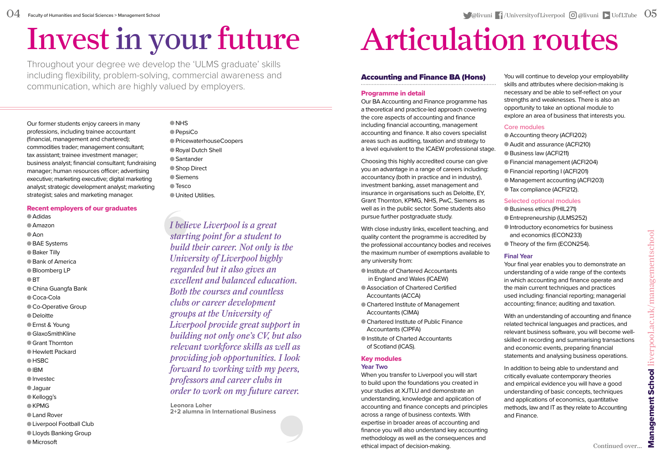## Invest in your future

O<sub>NHS</sub>

Throughout your degree we develop the 'ULMS graduate' skills including flexibility, problem-solving, commercial awareness and communication, which are highly valued by employers.

Our former students enjoy careers in many professions, including trainee accountant (financial, management and chartered); commodities trader; management consultant; tax assistant; trainee investment manager; business analyst; financial consultant; fundraising manager; human resources officer; advertising executive; marketing executive; digital marketing analyst; strategic development analyst; marketing strategist; sales and marketing manager.

#### Recent employers of our graduates

Adidas Amazon  $A$ on

- BAE Systems
- 
- Baker Tilly
- Bank of America
- Bloomberg LP
- $\bullet$  RT
- China Guangfa Bank
- Coca-Cola
- Co-Operative Group
- Deloitte
- Ernst & Young
- GlaxoSmithKline
- Grant Thornton
- Hewlett Packard
- $O$  HSBC
- **OIRM**
- Investec
- Jaguar
- Kellogg's
- $CKPMG$
- Land Rover
- **Liverpool Football Club**
- Lloyds Banking Group
- Microsoft

**■ PensiCo** PricewaterhouseCoopers Royal Dutch Shell ● Santander ● Shop Direct ● Siemens **Tesco** United Utilities.

*I believe Liverpool is a great starting point for a student to build their career. Not only is the University of Liverpool highly regarded but it also gives an excellent and balanced education. Both the courses and countless clubs or career development groups at the University of Liverpool provide great support in building not only one's CV, but also relevant workforce skills as well as providing job opportunities. I look forward to working with my peers, professors and career clubs in order to work on my future career.*

**Leonora Loher 2+2 alumna in International Business**

## Articulation routes

#### Accounting and Finance BA (Hons)

#### Programme in detail

Our BA Accounting and Finance programme has a theoretical and practice-led approach covering the core aspects of accounting and finance including financial accounting, management accounting and finance. It also covers specialist areas such as auditing, taxation and strategy to a level equivalent to the ICAEW professional stage.

Choosing this highly accredited course can give you an advantage in a range of careers including: accountancy (both in practice and in industry), investment banking, asset management and insurance in organisations such as Deloitte, EY, Grant Thornton, KPMG, NHS, PwC, Siemens as well as in the public sector. Some students also pursue further postgraduate study.

With close industry links, excellent teaching, and quality content the programme is accredited by the professional accountancy bodies and receives the maximum number of exemptions available to any university from:

- Institute of Chartered Accountants in England and Wales (ICAEW)
- Association of Chartered Certified Accountants (ACCA)
- Chartered Institute of Management Accountants (CIMA)
- Chartered Institute of Public Finance Accountants (CIPFA)
- Institute of Charted Accountants of Scotland (ICAS).

#### Key modules

#### **Year Two**

When you transfer to Liverpool you will start to build upon the foundations you created in your studies at XJTLU and demonstrate an understanding, knowledge and application of accounting and finance concepts and principles across a range of business contexts. With expertise in broader areas of accounting and finance you will also understand key accounting methodology as well as the consequences and ethical impact of decision-making.

You will continue to develop your employability skills and attributes where decision-making is necessary and be able to self-reflect on your strengths and weaknesses. There is also an opportunity to take an optional module to explore an area of business that interests you.

#### **Core modules**

Accounting theory (ACFI202) Audit and assurance (ACFI210) Business law (ACFI211) Financial management (ACFI204) Financial reporting I (ACFI201) Management accounting (ACFI203) Tax compliance (ACFI212).

#### **Selected optional modules**

- Business ethics (PHIL271) **Entrepreneurship (ULMS252)** Introductory econometrics for business and economics (ECON233)
- Theory of the firm (ECON254).

#### **Final Year**

Your final year enables you to demonstrate an understanding of a wide range of the contexts in which accounting and finance operate and the main current techniques and practices used including: financial reporting; managerial accounting; finance; auditing and taxation.

With an understanding of accounting and finance related technical languages and practices, and relevant business software, you will become wellskilled in recording and summarising transactions and economic events, preparing financial statements and analysing business operations.

In addition to being able to understand and critically evaluate contemporary theories and empirical evidence you will have a good understanding of basic concepts, techniques and applications of economics, quantitative methods, law and IT as they relate to Accounting and Finance.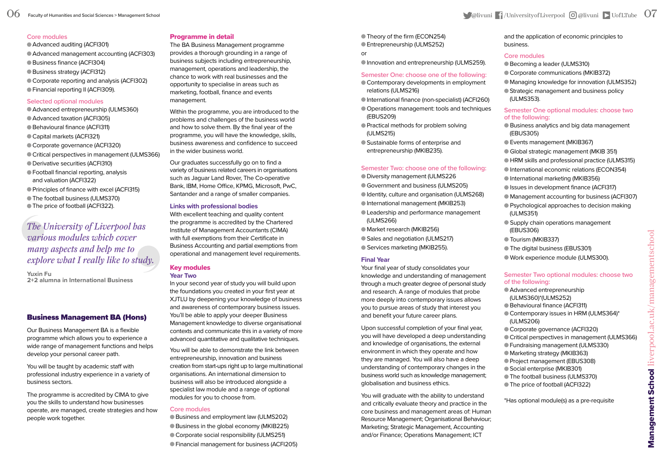#### **Core modules**

Advanced auditing (ACFI301) Advanced management accounting (ACFI303) Business finance (ACFI304) Business strategy (ACFI312)

- Corporate reporting and analysis (ACFI302)
- Financial reporting II (ACFI309).

#### **Selected optional modules**

- Advanced entrepreneurship (ULMS360)
- Advanced taxation (ACFI305)
- Behavioural finance (ACFI311)
- Capital markets (ACFI321)
- Corporate governance (ACFI320)
- Critical perspectives in management (ULMS366)
- Derivative securities (ACFI310)
- Football financial reporting, analysis and valuation (ACFI322)
- Principles of finance with excel (ACFI315)
- The football business (ULMS370)
- The price of football (ACFI322).

#### *The University of Liverpool has various modules which cover many aspects and help me to explore what I really like to study.*

**Yuxin Fu 2+2 alumna in International Business**

#### Business Management BA (Hons)

Our Business Management BA is a flexible programme which allows you to experience a wide range of management functions and helps develop your personal career path.

You will be taught by academic staff with professional industry experience in a variety of business sectors.

The programme is accredited by CIMA to give you the skills to understand how businesses operate, are managed, create strategies and how people work together.

#### Programme in detail

The BA Business Management programme provides a thorough grounding in a range of business subjects including entrepreneurship, management, operations and leadership, the chance to work with real businesses and the opportunity to specialise in areas such as marketing, football, finance and events management.

Within the programme, you are introduced to the problems and challenges of the business world and how to solve them. By the final year of the programme, you will have the knowledge, skills, business awareness and confidence to succeed in the wider business world.

Our graduates successfully go on to find a variety of business related careers in organisations such as Jaguar Land Rover, The Co-operative Bank, IBM, Home Office, KPMG, Microsoft, PwC, Santander and a range of smaller companies.

#### **Links with professional bodies**

With excellent teaching and quality content the programme is accredited by the Chartered Institute of Management Accountants (CIMA) with full exemptions from their Certificate in Business Accounting and partial exemptions from operational and management level requirements.

#### Key modules **Year Two**

In your second year of study you will build upon the foundations you created in your first year at XJTLU by deepening your knowledge of business and awareness of contemporary business issues. You'll be able to apply your deeper Business Management knowledge to diverse organisational contexts and communicate this in a variety of more advanced quantitative and qualitative techniques.

You will be able to demonstrate the link between entrepreneurship, innovation and business creation from start-ups right up to large multinational organisations. An international dimension to business will also be introduced alongside a specialist law module and a range of optional modules for you to choose from.

#### **Core modules**

Business and employment law (ULMS202) Business in the global economy (MKIB225) Corporate social responsibility (ULMS251) Financial management for business (ACFI205) Theory of the firm (ECON254) Entrepreneurship (ULMS252)

or

Innovation and entrepreneurship (ULMS259).

#### **Semester One: choose one of the following:**

- Contemporary developments in employment relations (ULMS216)
- International finance (non-specialist) (ACFI260)
- Operations management: tools and techniques (EBUS209)
- Practical methods for problem solving (ULMS215)
- Sustainable forms of enterprise and entrepreneurship (MKIB235).

#### **Semester Two: choose one of the following:**

- Diversity management (ULMS226
- Government and business (ULMS205)
- Identity, culture and organisation (ULMS268)
- International management (MKIB253)
- Leadership and performance management (ULMS266)
- Market research (MKIB256)
- Sales and negotiation (ULMS217)
- Services marketing (MKIB255).

#### **Final Year**

Your final year of study consolidates your knowledge and understanding of management through a much greater degree of personal study and research. A range of modules that probe more deeply into contemporary issues allows you to pursue areas of study that interest you and benefit your future career plans.

Upon successful completion of your final year, you will have developed a deep understanding and knowledge of organisations, the external environment in which they operate and how they are managed. You will also have a deep understanding of contemporary changes in the business world such as knowledge management; globalisation and business ethics.

You will graduate with the ability to understand and critically evaluate theory and practice in the core business and management areas of: Human Resource Management; Organisational Behaviour; Marketing; Strategic Management, Accounting and/or Finance; Operations Management; ICT

and the application of economic principles to business.

#### **Core modules**

- Becoming a leader (ULMS310)
- Corporate communications (MKIB372)
- Managing knowledge for innovation (ULMS352)
- Strategic management and business policy (ULMS353).

#### **Semester One optional modules: choose two of the following:**

- Business analytics and big data management (EBUS305)
- Events management (MKIB367)
- Global strategic management (MKIB 351)
- HRM skills and professional practice (ULMS315)
- International economic relations (ECON354)
- International marketing (MKIB356)
- Issues in development finance (ACFI317)
- Management accounting for business (ACFI307)
- Psychological approaches to decision making (ULMS351)
- Supply chain operations management (EBUS306)
- $\bullet$  Tourism (MKIB337)
- The digital business (EBUS301)
- Work experience module (ULMS300).

#### **Semester Two optional modules: choose two of the following:**

- Advanced entrepreneurship (ULMS360)\*(ULMS252)
- Behavioural finance (ACFI311)
- Contemporary issues in HRM (ULMS364)\* (ULMS206)
- Corporate governance (ACFI320)
- Critical perspectives in management (ULMS366)
- Fundraising management (ULMS330) Marketing strategy (MKIB363)
- Project management (EBUS308)
- Social enterprise (MKIB301)
- The football business (ULMS370)
- The price of football (ACFI322)

\*Has optional module(s) as a pre-requisite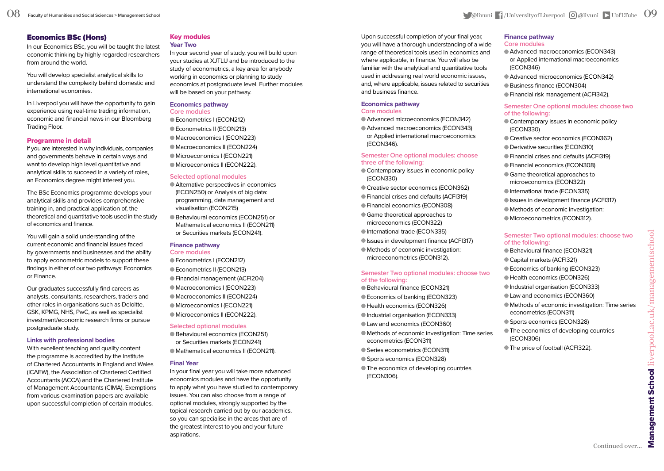#### Economics BSc (Hons)

In our Economics BSc, you will be taught the latest economic thinking by highly regarded researchers from around the world.

You will develop specialist analytical skills to understand the complexity behind domestic and international economies.

In Liverpool you will have the opportunity to gain experience using real-time trading information, economic and financial news in our Bloomberg Trading Floor.

#### Programme in detail

If you are interested in why individuals, companies and governments behave in certain ways and want to develop high level quantitative and analytical skills to succeed in a variety of roles, an Economics degree might interest you.

The BSc Economics programme develops your analytical skills and provides comprehensive training in, and practical application of, the theoretical and quantitative tools used in the study of economics and finance.

You will gain a solid understanding of the current economic and financial issues faced by governments and businesses and the ability to apply econometric models to support these findings in either of our two pathways: Economics or Finance.

Our graduates successfully find careers as analysts, consultants, researchers, traders and other roles in organisations such as Deloitte, GSK, KPMG, NHS, PwC, as well as specialist investment/economic research firms or pursue postgraduate study.

#### **Links with professional bodies**

With excellent teaching and quality content the programme is accredited by the Institute of Chartered Accountants in England and Wales (ICAEW), the Association of Chartered Certified Accountants (ACCA) and the Chartered Institute of Management Accountants (CIMA). Exemptions from various examination papers are available upon successful completion of certain modules.

#### Key modules **Year Two**

In your second year of study, you will build upon your studies at XJTLU and be introduced to the study of econometrics, a key area for anybody working in economics or planning to study economics at postgraduate level. Further modules will be based on your pathway.

#### **Economics pathway Core modules**

Econometrics I (ECON212) Econometrics II (ECON213) Macroeconomics I (ECON223) Macroeconomics II (ECON224) Microeconomics I (ECON221) Microeconomics II (ECON222).

#### **Selected optional modules**

Alternative perspectives in economics (ECON250) or Analysis of big data: programming, data management and visualisation (ECON215)

Behavioural economics (ECON251) or Mathematical economics II (ECON211) or Securities markets (ECON241).

#### **Finance pathway**

**Core modules** Econometrics I (ECON212) Econometrics II (ECON213) Financial management (ACFI204) Macroeconomics I (ECON223) Macroeconomics II (ECON224) Microeconomics I (ECON221) Microeconomics II (ECON222).

#### **Selected optional modules**

Behavioural economics (ECON251) or Securities markets (ECON241) Mathematical economics II (ECON211).

#### **Final Year**

In your final year you will take more advanced economics modules and have the opportunity to apply what you have studied to contemporary issues. You can also choose from a range of optional modules, strongly supported by the topical research carried out by our academics, so you can specialise in the areas that are of the greatest interest to you and your future aspirations.

Upon successful completion of your final year, you will have a thorough understanding of a wide range of theoretical tools used in economics and where applicable, in finance. You will also be familiar with the analytical and quantitative tools used in addressing real world economic issues, and, where applicable, issues related to securities and business finance.

#### **Economics pathway Core modules**

Advanced microeconomics (ECON342)

Advanced macroeconomics (ECON343) or Applied international macroeconomics (ECON346).

#### **Semester One optional modules: choose three of the following:**

- Contemporary issues in economic policy (ECON330)
- Creative sector economics (ECON362)
- Financial crises and defaults (ACFI319)

Financial economics (ECON308)

- Game theoretical approaches to microeconomics (ECON322)
- International trade (ECON335)
- Issues in development finance (ACFI317)
- Methods of economic investigation:
- microeconometrics (ECON312).

#### **Semester Two optional modules: choose two of the following:**

- Behavioural finance (ECON321) Economics of banking (ECON323)
- Health economics (ECON326)
- Industrial organisation (ECON333)
- Law and economics (ECON360)
- Methods of economic investigation: Time series econometrics (ECON311)
- Series econometrics (ECON311)
- Sports economics (ECON328)
- The economics of developing countries (ECON306).

#### **Finance pathway**

- **Core modules**
- Advanced macroeconomics (ECON343) or Applied international macroeconomics (ECON346)
- Advanced microeconomics (ECON342)
- Business finance (ECON304)
- Financial risk management (ACFI342).

#### **Semester One optional modules: choose two of the following:**

- Contemporary issues in economic policy (ECON330)
- Creative sector economics (ECON362)
- Derivative securities (ECON310)
- Financial crises and defaults (ACFI319)
- Financial economics (ECON308)
- Game theoretical approaches to microeconomics (ECON322)
- International trade (ECON335)
- Issues in development finance (ACFI317)
- Methods of economic investigation:
- Microeconometrics (ECON312).

#### **Semester Two optional modules: choose two of the following:**

- 
- Behavioural finance (ECON321) Capital markets (ACFI321)
- Economics of banking (ECON323)
- Health economics (ECON326)
- Industrial organisation (ECON333)
- Law and economics (ECON360)
- Methods of economic investigation: Time series econometrics (ECON311)
- Sports economics (ECON328)
- The economics of developing countries (ECON306)
- The price of football (ACFI322).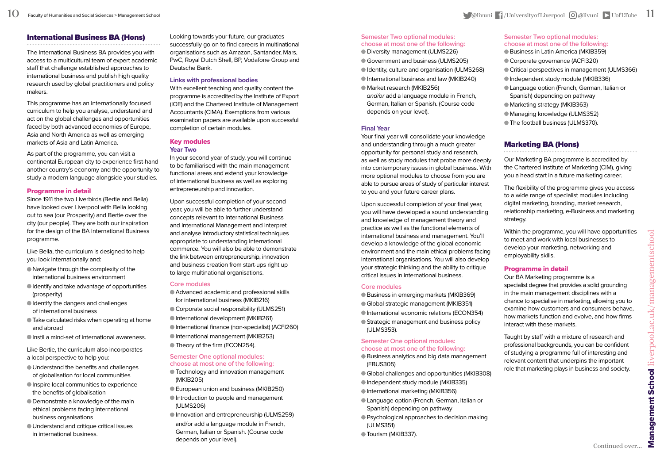#### International Business BA (Hons)

The International Business BA provides you with access to a multicultural team of expert academic staff that challenge established approaches to international business and publish high quality research used by global practitioners and policy makers.

This programme has an internationally focused curriculum to help you analyse, understand and act on the global challenges and opportunities faced by both advanced economies of Europe, Asia and North America as well as emerging markets of Asia and Latin America.

As part of the programme, you can visit a continental European city to experience first-hand another country's economy and the opportunity to study a modern language alongside your studies.

#### Programme in detail

Since 1911 the two Liverbirds (Bertie and Bella) have looked over Liverpool with Bella looking out to sea (our Prosperity) and Bertie over the city (our people). They are both our inspiration for the design of the BA International Business programme.

Like Bella, the curriculum is designed to help you look internationally and:

- Navigate through the complexity of the international business environment
- Identify and take advantage of opportunities (prosperity)
- Identify the dangers and challenges of international business
- Take calculated risks when operating at home and abroad
- Instil a mind-set of international awareness.

Like Bertie, the curriculum also incorporates a local perspective to help you:

- Understand the benefits and challenges of globalisation for local communities
- Inspire local communities to experience the benefits of globalisation
- Demonstrate a knowledge of the main ethical problems facing international business organisations
- Understand and critique critical issues in international business.

Looking towards your future, our graduates successfully go on to find careers in multinational organisations such as Amazon, Santander, Mars, PwC, Royal Dutch Shell, BP, Vodafone Group and Deutsche Bank.

#### **Links with professional bodies**

With excellent teaching and quality content the programme is accredited by the Institute of Export (IOE) and the Chartered Institute of Management Accountants (CIMA). Exemptions from various examination papers are available upon successful completion of certain modules.

#### Key modules **Year Two**

In your second year of study, you will continue to be familiarised with the main management functional areas and extend your knowledge of international business as well as exploring entrepreneurship and innovation.

Upon successful completion of your second year, you will be able to further understand concepts relevant to International Business and International Management and interpret and analyse introductory statistical techniques appropriate to understanding international commerce. You will also be able to demonstrate the link between entrepreneurship, innovation and business creation from start-ups right up to large multinational organisations.

#### **Core modules**

Advanced academic and professional skills for international business (MKIB216) Corporate social responsibility (ULMS251) International development (MKIB261) International finance (non-specialist) (ACFI260) International management (MKIB253) ● Theory of the firm (ECON254).

#### **Semester One optional modules: choose at most one of the following:**

- Technology and innovation management (MKIB205)
- European union and business (MKIB250) Introduction to people and management (ULMS206)
- Innovation and entrepreneurship (ULMS259) and/or add a language module in French,
- German, Italian or Spanish. (Course code depends on your level).

#### **Semester Two optional modules: choose at most one of the following:**

- Diversity management (ULMS226) Government and business (ULMS205) Identity, culture and organisation (ULMS268) International business and law (MKIB240) Market research (MKIB256)
- *and/or* add a language module in French, German, Italian or Spanish. (Course code depends on your level).

#### **Final Year**

Your final year will consolidate your knowledge and understanding through a much greater opportunity for personal study and research, as well as study modules that probe more deeply into contemporary issues in global business. With more optional modules to choose from you are able to pursue areas of study of particular interest to you and your future career plans.

Upon successful completion of your final year, you will have developed a sound understanding and knowledge of management theory and practice as well as the functional elements of international business and management. You'll develop a knowledge of the global economic environment and the main ethical problems facing international organisations. You will also develop your strategic thinking and the ability to critique critical issues in international business.

#### **Core modules**

Business in emerging markets (MKIB369) Global strategic management (MKIB351) International economic relations (ECON354) Strategic management and business policy (ULMS353).

#### **Semester One optional modules: choose at most one of the following:**

- Business analytics and big data management (EBUS305)
- Global challenges and opportunities (MKIB308)
- Independent study module (MKIB335)
- International marketing (MKIB356)
- Language option (French, German, Italian or Spanish) depending on pathway
- Psychological approaches to decision making (ULMS351)
- Tourism (MKIB337).

#### **Semester Two optional modules: choose at most one of the following:**

- Business in Latin America (MKIB359)
- Corporate governance (ACFI320)
- Critical perspectives in management (ULMS366)
- Independent study module (MKIB336)
- Language option (French, German, Italian or Spanish) depending on pathway
- Marketing strategy (MKIB363)
- Managing knowledge (ULMS352)
- The football business (ULMS370).

#### Marketing BA (Hons)

Our Marketing BA programme is accredited by the Chartered Institute of Marketing (CIM), giving you a head start in a future marketing career.

The flexibility of the programme gives you access to a wide range of specialist modules including digital marketing, branding, market research, relationship marketing, e-Business and marketing strategy.

Within the programme, you will have opportunities to meet and work with local businesses to develop your marketing, networking and employability skills.

#### Programme in detail

Our BA Marketing programme is a specialist degree that provides a solid grounding in the main management disciplines with a chance to specialise in marketing, allowing you to examine how customers and consumers behave, how markets function and evolve, and how firms interact with these markets.

Taught by staff with a mixture of research and professional backgrounds, you can be confident of studying a programme full of interesting and relevant content that underpins the important role that marketing plays in business and society.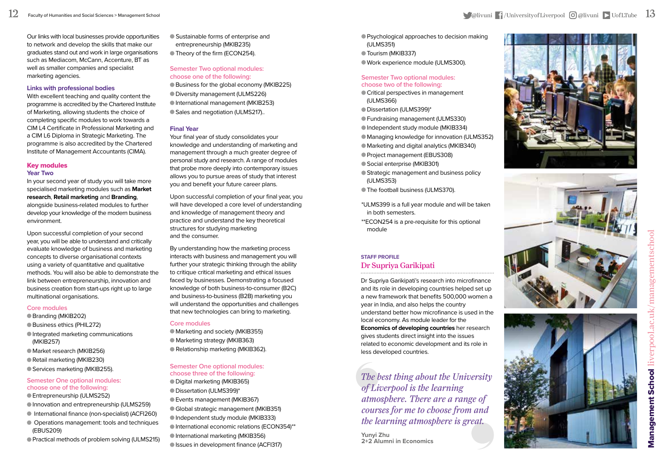Our links with local businesses provide opportunities to network and develop the skills that make our graduates stand out and work in large organisations such as Mediacom, McCann, Accenture, BT as well as smaller companies and specialist marketing agencies.

#### **Links with professional bodies**

With excellent teaching and quality content the programme is accredited by the Chartered Institute of Marketing, allowing students the choice of completing specific modules to work towards a CIM L4 Certificate in Professional Marketing and a CIM L6 Diploma in Strategic Marketing. The programme is also accredited by the Chartered Institute of Management Accountants (CIMA).

#### Key modules **Year Two**

In your second year of study you will take more specialised marketing modules such as **Market research**, **Retail marketing** and **Branding**, alongside business-related modules to further develop your knowledge of the modern business environment.

Upon successful completion of your second year, you will be able to understand and critically evaluate knowledge of business and marketing concepts to diverse organisational contexts using a variety of quantitative and qualitative methods. You will also be able to demonstrate the link between entrepreneurship, innovation and business creation from start-ups right up to large multinational organisations.

#### **Core modules**

- Branding (MKIB202)
- Business ethics (PHIL272)
- Integrated marketing communications (MKIB257)
- Market research (MKIB256)
- Retail marketing (MKIB230)
- Services marketing (MKIB255).

#### **Semester One optional modules: choose one of the following:**

- Entrepreneurship (ULMS252)
- Innovation and entrepreneurship (ULMS259)
- International finance (non-specialist) (ACFI260)
- Operations management: tools and techniques (EBUS209)
- Practical methods of problem solving (ULMS215)

 Sustainable forms of enterprise and entrepreneurship (MKIB235) Theory of the firm (ECON254).

#### **Semester Two optional modules: choose one of the following:** Business for the global economy (MKIB225) Diversity management (ULMS226) International management (MKIB253) Sales and negotiation (ULMS217)..

#### **Final Year**

Your final year of study consolidates your knowledge and understanding of marketing and management through a much greater degree of personal study and research. A range of modules that probe more deeply into contemporary issues allows you to pursue areas of study that interest you and benefit your future career plans.

Upon successful completion of your final year, you will have developed a core level of understanding and knowledge of management theory and practice and understand the key theoretical structures for studying marketing and the consumer.

By understanding how the marketing process interacts with business and management you will further your strategic thinking through the ability to critique critical marketing and ethical issues faced by businesses. Demonstrating a focused knowledge of both business-to-consumer (B2C) and business-to-business (B2B) marketing you will understand the opportunities and challenges that new technologies can bring to marketing.

#### **Core modules**

Marketing and society (MKIB355) Marketing strategy (MKIB363) Relationship marketing (MKIB362).

#### **Semester One optional modules: choose three of the following:**

Digital marketing (MKIB365) Dissertation (ULMS399)\* Events management (MKIB367) Global strategic management (MKIB351) Independent study module (MKIB333) International economic relations (ECON354)\*\* International marketing (MKIB356) Issues in development finance (ACFI317)

- Psychological approaches to decision making (ULMS351)
- Tourism (MKIB337)
- Work experience module (ULMS300).

#### **Semester Two optional modules: choose two of the following:**

- Critical perspectives in management (ULMS366)
- Dissertation (ULMS399)\*
- Fundraising management (ULMS330)
- Independent study module (MKIB334)
- Managing knowledge for innovation (ULMS352)
- Marketing and digital analytics (MKIB340)
- Project management (EBUS308)
- Social enterprise (MKIB301)
- Strategic management and business policy (ULMS353)
- The football business (ULMS370).
- \*ULMS399 is a full year module and will be taken in both semesters.
- \*\*ECON254 is a pre-requisite for this optional module

#### **STAFF PROFILE** Dr Supriya Garikipati

Dr Supriya Garikipati's research into microfinance and its role in developing countries helped set up a new framework that benefits 500,000 women a year in India, and also helps the country understand better how microfinance is used in the local economy. As module leader for the **Economics of developing countries** her research gives students direct insight into the issues related to economic development and its role in less developed countries.

*The best thing about the University of Liverpool is the learning atmosphere. There are a range of courses for me to choose from and the learning atmosphere is great.*

**Yunyi Zhu 2+2 Alumni in Economics**





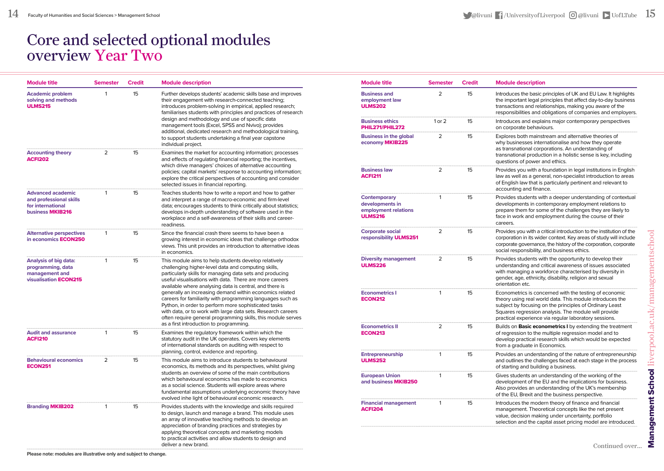## Core and selected optional modules overview Year Two

| <b>Module title</b>                                                                          | <b>Semester</b> | <b>Credit</b> | <b>Module description</b>                                                                                                                                                                                                                                                                                                                                                                                                                                                                                                                                                                                                                                 |
|----------------------------------------------------------------------------------------------|-----------------|---------------|-----------------------------------------------------------------------------------------------------------------------------------------------------------------------------------------------------------------------------------------------------------------------------------------------------------------------------------------------------------------------------------------------------------------------------------------------------------------------------------------------------------------------------------------------------------------------------------------------------------------------------------------------------------|
| <b>Academic problem</b><br>solving and methods<br><b>ULMS215</b>                             | 1               | 15            | Further develops students' academic skills base and improves<br>their engagement with research-connected teaching;<br>introduces problem-solving in empirical, applied research;<br>familiarises students with principles and practices of research<br>design and methodology and use of specific data<br>management tools (Excel, SPSS and Nvivo); provides<br>additional, dedicated research and methodological training,<br>to support students undertaking a final year capstone<br>individual project.                                                                                                                                               |
| <b>Accounting theory</b><br><b>ACFI202</b>                                                   | 2               | 15            | Examines the market for accounting information; processes<br>and effects of regulating financial reporting; the incentives,<br>which drive managers' choices of alternative accounting<br>policies; capital markets' response to accounting information;<br>explore the critical perspectives of accounting and consider<br>selected issues in financial reporting.                                                                                                                                                                                                                                                                                       |
| <b>Advanced academic</b><br>and professional skills<br>for international<br>business MKIB216 | 1               | 15            | Teaches students how to write a report and how to gather<br>and interpret a range of macro-economic and firm-level<br>data; encourages students to think critically about statistics;<br>develops in-depth understanding of software used in the<br>workplace and a self-awareness of their skills and career-<br>readiness.                                                                                                                                                                                                                                                                                                                              |
| <b>Alternative perspectives</b><br>in economics <b>ECON250</b>                               | 1               | 15            | Since the financial crash there seems to have been a<br>growing interest in economic ideas that challenge orthodox<br>views. This unit provides an introduction to alternative ideas<br>in economics.                                                                                                                                                                                                                                                                                                                                                                                                                                                     |
| Analysis of big data:<br>programming, data<br>management and<br>visualisation <b>ECON215</b> | 1               | 15            | This module aims to help students develop relatively<br>challenging higher-level data and computing skills,<br>particularly skills for managing data sets and producing<br>useful visualisations with data. There are more careers<br>available where analysing data is central, and there is<br>generally an increasing demand within economics related<br>careers for familiarity with programming languages such as<br>Python, in order to perform more sophisticated tasks<br>with data, or to work with large data sets. Research careers<br>often require general programming skills, this module serves<br>as a first introduction to programming. |
| <b>Audit and assurance</b><br><b>ACFI210</b>                                                 | 1               | 15            | Examines the regulatory framework within which the<br>statutory audit in the UK operates. Covers key elements<br>of international standards on auditing with respect to<br>planning, control, evidence and reporting.                                                                                                                                                                                                                                                                                                                                                                                                                                     |
| <b>Behavioural economics</b><br><b>ECON251</b>                                               | 2               | 15            | This module aims to introduce students to behavioural<br>economics, its methods and its perspectives, whilst giving<br>students an overview of some of the main contributions<br>which behavioural economics has made to economics<br>as a social science. Students will explore areas where<br>fundamental assumptions underlying economic theory have<br>evolved inhe light of behavioural economic research.                                                                                                                                                                                                                                           |
| <b>Branding MKIB202</b>                                                                      | 1               | 15            | Provides students with the knowledge and skills required<br>to design, launch and manage a brand. This module uses<br>an array of innovative teaching methods to develop an<br>appreciation of branding practices and strategies by<br>applying theoretical concepts and marketing models<br>to practical activities and allow students to design and<br>deliver a new brand.                                                                                                                                                                                                                                                                             |

| <b>Module title</b>                                                       | <b>Semester</b> | <b>Credit</b> | <b>Module description</b>                                                                                                                                                                                                                                                                      |
|---------------------------------------------------------------------------|-----------------|---------------|------------------------------------------------------------------------------------------------------------------------------------------------------------------------------------------------------------------------------------------------------------------------------------------------|
| <b>Business and</b><br>employment law<br><b>ULMS202</b>                   | $\overline{2}$  | 15            | Introduces the basic principles of UK and EU Law. It highlights<br>the important legal principles that affect day-to-day business<br>transactions and relationships, making you aware of the<br>responsibilities and obligations of companies and employers.                                   |
| <b>Business ethics</b><br>PHIL271/PHIL272                                 | 1 or $2$        | 15            | Introduces and explains major contemporary perspectives<br>on corporate behaviours.                                                                                                                                                                                                            |
| <b>Business in the global</b><br>economy MKIB225                          | 2               | 15            | Explores both mainstream and alternative theories of<br>why businesses internationalise and how they operate<br>as transnational corporations. An understanding of<br>transnational production in a holistic sense is key, including<br>questions of power and ethics.                         |
| <b>Business law</b><br><b>ACFI211</b>                                     | 2               | 15            | Provides you with a foundation in legal institutions in English<br>law as well as a general, non-specialist introduction to areas<br>of English law that is particularly pertinent and relevant to<br>accounting and finance.                                                                  |
| Contemporary<br>developments in<br>employment relations<br><b>ULMS216</b> | 1               | 15            | Provides students with a deeper understanding of contextual<br>developments in contemporary employment relations to<br>prepare them for some of the challenges they are likely to<br>face in work and employment during the course of their<br>careers.                                        |
| <b>Corporate social</b><br>responsibility ULMS251                         | 2               | 15            | Provides you with a critical introduction to the institution of the<br>corporation in its wider context. Key areas of study will include<br>corporate governance, the history of the corporation, corporate<br>social responsibility, and business ethics.                                     |
| <b>Diversity management</b><br><b>ULMS226</b>                             | 2               | 15            | Provides students with the opportunity to develop their<br>understanding and critical awareness of issues associated<br>with managing a workforce characterised by diversity in<br>gender, age, ethnicity, disability, religion and sexual<br>orientation etc.                                 |
| <b>Econometrics I</b><br><b>ECON212</b>                                   | 1               | 15            | Econometrics is concerned with the testing of economic<br>theory using real world data. This module introduces the<br>subject by focusing on the principles of Ordinary Least<br>Squares regression analysis. The module will provide<br>practical experience via regular laboratory sessions. |
| <b>Econometrics II</b><br><b>ECON213</b>                                  | 2               | 15            | Builds on Basic econometrics I by extending the treatment<br>of regression to the multiple regression model and to<br>develop practical research skills which would be expected<br>from a graduate in Economics.                                                                               |
| Entrepreneurship<br><b>ULMS252</b>                                        | 1               | 15            | Provides an understanding of the nature of entrepreneurship<br>and outlines the challenges faced at each stage in the process<br>of starting and building a business.                                                                                                                          |
| <b>European Union</b><br>and business MKIB250                             | 1               | 15            | Gives students an understanding of the working of the<br>development of the EU and the implications for business.<br>Also provides an understanding of the UK's membership<br>of the EU, Brexit and the business perspective.                                                                  |
| <b>Financial management</b><br><b>ACFI204</b>                             | 1               | 15            | Introduces the modern theory of finance and financial<br>management. Theoretical concepts like the net present<br>value, decision making under uncertainty, portfolio<br>selection and the capital asset pricing model are introduced.                                                         |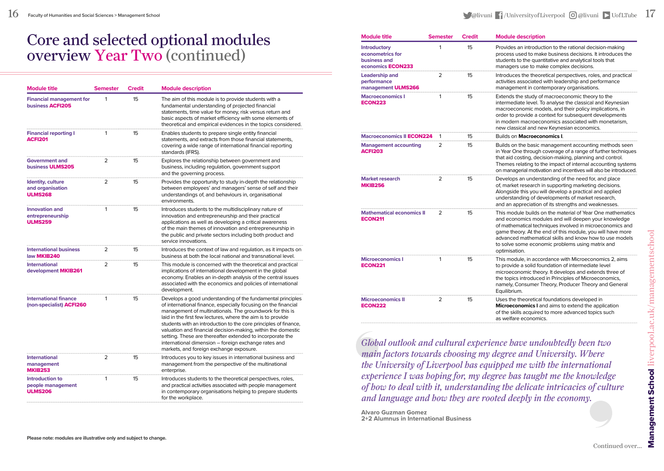## Core and selected optional modules overview Year Two (continued)

| <b>Module title</b>                                         | <b>Semester</b> | <b>Credit</b> | <b>Module description</b>                                                                                                                                                                                                                                                                                                                                                                                                                                                                                                                                    |
|-------------------------------------------------------------|-----------------|---------------|--------------------------------------------------------------------------------------------------------------------------------------------------------------------------------------------------------------------------------------------------------------------------------------------------------------------------------------------------------------------------------------------------------------------------------------------------------------------------------------------------------------------------------------------------------------|
| <b>Financial management for</b><br>business <b>ACFI205</b>  | 1               | 15            | The aim of this module is to provide students with a<br>fundamental understanding of projected financial<br>statements, time value for money, risk versus return and<br>basic aspects of market efficiency with some elements of<br>theoretical and empirical evidences in the topics considered.                                                                                                                                                                                                                                                            |
| <b>Financial reporting I</b><br><b>ACFI201</b>              | 1               | 15            | Enables students to prepare single entity financial<br>statements, and extracts from those financial statements,<br>covering a wide range of international financial reporting<br>standards (IFRS).                                                                                                                                                                                                                                                                                                                                                          |
| <b>Government and</b><br>business ULMS205                   | 2               | 15            | Explores the relationship between government and<br>business, including regulation, government support<br>and the governing process.                                                                                                                                                                                                                                                                                                                                                                                                                         |
| Identity, culture<br>and organisation<br><b>ULMS268</b>     | 2               | 15            | Provides the opportunity to study in-depth the relationship<br>between employees' and managers' sense of self and their<br>understandings of, and behaviours in, organisational<br>environments.                                                                                                                                                                                                                                                                                                                                                             |
| <b>Innovation and</b><br>entrepreneurship<br><b>ULMS259</b> | 1               | 15            | Introduces students to the multidisciplinary nature of<br>innovation and entrepreneurship and their practical<br>applications as well as developing a critical awareness<br>of the main themes of innovation and entrepreneurship in<br>the public and private sectors including both product and<br>service innovations.                                                                                                                                                                                                                                    |
| <b>International business</b><br>law MKIB240                | 2               | 15            | Introduces the context of law and regulation, as it impacts on<br>business at both the local national and transnational level.                                                                                                                                                                                                                                                                                                                                                                                                                               |
| <b>International</b><br>development MKIB261                 | 2               | 15            | This module is concerned with the theoretical and practical<br>implications of international development in the global<br>economy. Enables an in-depth analysis of the central issues<br>associated with the economics and policies of international<br>development.                                                                                                                                                                                                                                                                                         |
| <b>International finance</b><br>(non-specialist) ACFI260    | 1               | 15            | Develops a good understanding of the fundamental principles<br>of international finance, especially focusing on the financial<br>management of multinationals. The groundwork for this is<br>laid in the first few lectures, where the aim is to provide<br>students with an introduction to the core principles of finance,<br>valuation and financial decision-making, within the domestic<br>setting. These are thereafter extended to incorporate the<br>international dimension - foreign exchange rates and<br>markets, and foreign exchange exposure. |
| <b>International</b><br>management<br><b>MKIB253</b>        | 2               | 15            | Introduces you to key issues in international business and<br>management from the perspective of the multinational<br>enterprise.                                                                                                                                                                                                                                                                                                                                                                                                                            |
| Introduction to<br>people management<br><b>ULMS206</b>      | 1               | 15            | Introduces students to the theoretical perspectives, roles,<br>and practical activities associated with people management<br>in contemporary organisations helping to prepare students<br>for the workplace.                                                                                                                                                                                                                                                                                                                                                 |

| <b>Module title</b>                                                                 | <b>Semester</b> | <b>Credit</b> | <b>Module description</b>                                                                                                                                                                                                                                                                                                                                                     |
|-------------------------------------------------------------------------------------|-----------------|---------------|-------------------------------------------------------------------------------------------------------------------------------------------------------------------------------------------------------------------------------------------------------------------------------------------------------------------------------------------------------------------------------|
| <b>Introductory</b><br>econometrics for<br>business and<br>economics <b>ECON233</b> | 1               | 15            | Provides an introduction to the rational decision-making<br>process used to make business decisions. It introduces the<br>students to the quantitative and analytical tools that<br>managers use to make complex decisions.                                                                                                                                                   |
| Leadership and<br>performance<br>management ULMS266                                 | 2               | 15            | Introduces the theoretical perspectives, roles, and practical<br>activities associated with leadership and performance<br>management in contemporary organisations.                                                                                                                                                                                                           |
| <b>Macroeconomics I</b><br><b>ECON223</b>                                           | 1               | 15            | Extends the study of macroeconomic theory to the<br>intermediate level. To analyse the classical and Keynesian<br>macroeconomic models, and their policy implications, in<br>order to provide a context for subsequent developments<br>in modern macroeconomics associated with monetarism,<br>new classical and new Keynesian economics.                                     |
| Macroeconomics II <b>ECON224</b>                                                    |                 | 15            | Builds on Macroeconomics I.                                                                                                                                                                                                                                                                                                                                                   |
| <b>Management accounting</b><br><b>ACFI203</b>                                      | $\overline{2}$  | 15            | Builds on the basic management accounting methods seen<br>in Year One through coverage of a range of further techniques<br>that aid costing, decision-making, planning and control.<br>Themes relating to the impact of internal accounting systems<br>on managerial motivation and incentives will also be introduced.                                                       |
| Market research<br><b>MKIB256</b>                                                   | 2               | 15            | Develops an understanding of the need for, and place<br>of, market research in supporting marketing decisions.<br>Alongside this you will develop a practical and applied<br>understanding of developments of market research,<br>and an appreciation of its strengths and weaknesses.                                                                                        |
| <b>Mathematical economics II</b><br><b>ECON211</b>                                  | 2               | 15            | This module builds on the material of Year One mathematics<br>and economics modules and will deepen your knowledge<br>of mathematical techniques involved in microeconomics and<br>game theory. At the end of this module, you will have more<br>advanced mathematical skills and know how to use models<br>to solve some economic problems using matrix and<br>optimisation. |
| Microeconomics I<br><b>ECON221</b>                                                  | 1               | 15            | This module, in accordance with Microeconomics 2, aims<br>to provide a solid foundation of intermediate level<br>microeconomic theory. It develops and extends three of<br>the topics introduced in Principles of Microeconomics,<br>namely, Consumer Theory, Producer Theory and General<br>Equilibrium.                                                                     |
| <b>Microeconomics II</b><br><b>ECON222</b>                                          | 2               | 15            | Uses the theoretical foundations developed in<br>Microeconomics I and aims to extend the application<br>of the skills acquired to more advanced topics such<br>as welfare economics.                                                                                                                                                                                          |

*Global outlook and cultural experience have undoubtedly been two main factors towards choosing my degree and University. Where the University of Liverpool has equipped me with the international experience I was hoping for, my degree has taught me the knowledge of how to deal with it, understanding the delicate intricacies of culture and language and how they are rooted deeply in the economy.*

**Alvaro Guzman Gomez 2+2 Alumnus in International Business**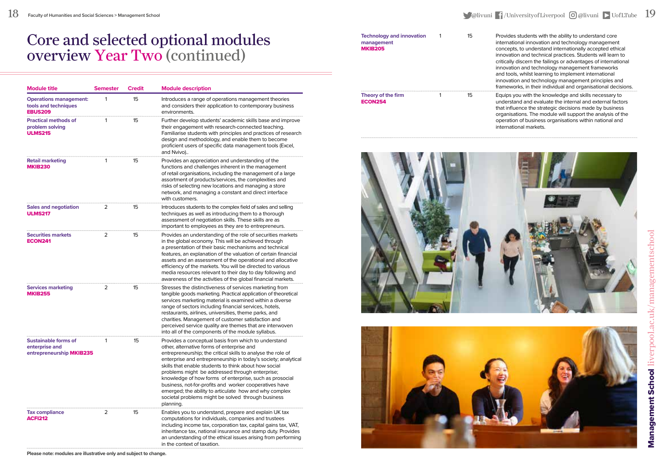#### $18$  Faculty of Humanities and Social Sciences > Management School  $^{\rm 19}$  UofLTube  $^{\rm 19}$

## Core and selected optional modules overview Year Two (continued)

| <b>Module title</b>                                                       | <b>Semester</b> | Credit | <b>Module description</b>                                                                                                                                                                                                                                                                                                                                                                                                                                                                                                                                                                          |
|---------------------------------------------------------------------------|-----------------|--------|----------------------------------------------------------------------------------------------------------------------------------------------------------------------------------------------------------------------------------------------------------------------------------------------------------------------------------------------------------------------------------------------------------------------------------------------------------------------------------------------------------------------------------------------------------------------------------------------------|
| <b>Operations management:</b><br>tools and techniques<br><b>EBUS209</b>   | 1               | 15     | Introduces a range of operations management theories<br>and considers their application to contemporary business<br>environments.                                                                                                                                                                                                                                                                                                                                                                                                                                                                  |
| <b>Practical methods of</b><br>problem solving<br><b>ULMS215</b>          | 1               | 15     | Further develop students' academic skills base and improve<br>their engagement with research-connected teaching.<br>Familiarise students with principles and practices of research<br>design and methodology, and enable them to become<br>proficient users of specific data management tools (Excel,<br>and Nvivo)                                                                                                                                                                                                                                                                                |
| Retail marketing<br><b>MKIB230</b>                                        | 1               | 15     | Provides an appreciation and understanding of the<br>functions and challenges inherent in the management<br>of retail organisations, including the management of a large<br>assortment of products/services, the complexities and<br>risks of selecting new locations and managing a store<br>network, and managing a constant and direct interface<br>with customers.                                                                                                                                                                                                                             |
| <b>Sales and negotiation</b><br><b>ULMS217</b>                            | 2               | 15     | Introduces students to the complex field of sales and selling<br>techniques as well as introducing them to a thorough<br>assessment of negotiation skills. These skills are as<br>important to employees as they are to entrepreneurs.                                                                                                                                                                                                                                                                                                                                                             |
| Securities markets<br><b>ECON241</b>                                      | 2               | 15     | Provides an understanding of the role of securities markets<br>in the global economy. This will be achieved through<br>a presentation of their basic mechanisms and technical<br>features, an explanation of the valuation of certain financial<br>assets and an assessment of the operational and allocative<br>efficiency of the markets. You will be directed to various<br>media resources relevant to their day to day following and<br>awareness of the activities of the global financial markets.                                                                                          |
| <b>Services marketing</b><br><b>MKIB255</b>                               | $\overline{2}$  | 15     | Stresses the distinctiveness of services marketing from<br>tangible goods marketing. Practical application of theoretical<br>services marketing material is examined within a diverse<br>range of sectors including financial services, hotels,<br>restaurants, airlines, universities, theme parks, and<br>charities. Management of customer satisfaction and<br>perceived service quality are themes that are interwoven<br>into all of the components of the module syllabus.                                                                                                                   |
| <b>Sustainable forms of</b><br>enterprise and<br>entrepreneurship MKIB235 | 1               | 15     | Provides a conceptual basis from which to understand<br>other, alternative forms of enterprise and<br>entrepreneurship; the critical skills to analyse the role of<br>enterprise and entrepreneurship in today's society; analytical<br>skills that enable students to think about how social<br>problems might be addressed through enterprise;<br>knowledge of how forms of enterprise, such as prosocial<br>business, not-for-profits and worker cooperatives have<br>emerged; the ability to articulate how and why complex<br>societal problems might be solved through business<br>planning. |
| <b>Tax compliance</b><br><b>ACFI212</b>                                   | 2               | 15     | Enables you to understand, prepare and explain UK tax<br>computations for individuals, companies and trustees<br>including income tax, corporation tax, capital gains tax, VAT,<br>inheritance tax, national insurance and stamp duty. Provides<br>an understanding of the ethical issues arising from performing<br>in the context of taxation.                                                                                                                                                                                                                                                   |

## **Technology and innovation** 1 15

### Theory of the firm<br>
Theory of the firm<br>
15

| <b>Technology and innovation</b><br>management<br><b>MKIB205</b> | 15 | Provides students with the ability to understand core<br>international innovation and technology management<br>concepts, to understand internationally accepted ethical<br>innovation and technical practices. Students will learn to<br>critically discern the failings or advantages of international<br>innovation and technology management frameworks<br>and tools, whilst learning to implement international<br>innovation and technology management principles and<br>frameworks, in their individual and organisational decisions. |
|------------------------------------------------------------------|----|---------------------------------------------------------------------------------------------------------------------------------------------------------------------------------------------------------------------------------------------------------------------------------------------------------------------------------------------------------------------------------------------------------------------------------------------------------------------------------------------------------------------------------------------|
| Theory of the firm<br><b>ECON254</b>                             | 15 | Equips you with the knowledge and skills necessary to<br>understand and evaluate the internal and external factors<br>that influence the strategic decisions made by business<br>organisations. The module will support the analysis of the<br>operation of business organisations within national and<br>international markets.                                                                                                                                                                                                            |



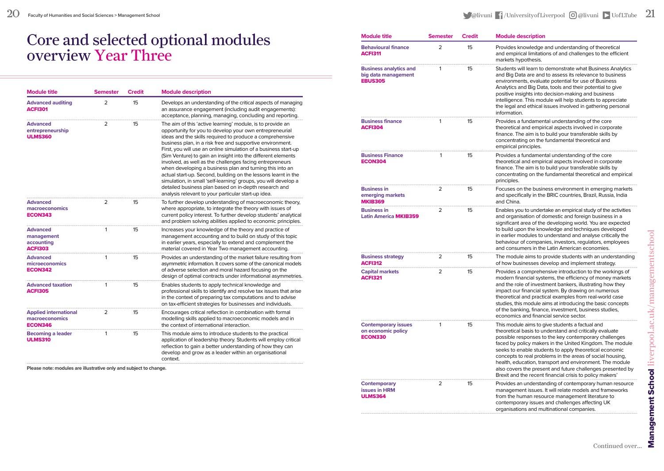## Core and selected optional modules overview Year Three

| <b>Module title</b>                                              | <b>Semester</b> | <b>Credit</b> | <b>Module description</b>                                                                                                                                                                                                                                                                                                                                                                                                                                                                                                                                                                                                                                                                                                                                      |
|------------------------------------------------------------------|-----------------|---------------|----------------------------------------------------------------------------------------------------------------------------------------------------------------------------------------------------------------------------------------------------------------------------------------------------------------------------------------------------------------------------------------------------------------------------------------------------------------------------------------------------------------------------------------------------------------------------------------------------------------------------------------------------------------------------------------------------------------------------------------------------------------|
| <b>Advanced auditing</b><br><b>ACFI301</b>                       | 2               | 15            | Develops an understanding of the critical aspects of managing<br>an assurance engagement (including audit engagements):<br>acceptance, planning, managing, concluding and reporting.                                                                                                                                                                                                                                                                                                                                                                                                                                                                                                                                                                           |
| Advanced<br>entrepreneurship<br><b>ULMS360</b>                   | 2               | 15            | The aim of this 'active learning' module, is to provide an<br>opportunity for you to develop your own entrepreneurial<br>ideas and the skills required to produce a comprehensive<br>business plan, in a risk free and supportive environment.<br>First, you will use an online simulation of a business start-up<br>(Sim Venture) to gain an insight into the different elements<br>involved, as well as the challenges facing entrepreneurs<br>when developing a business plan and turning this into an<br>actual start-up. Second, building on the lessons learnt in the<br>simulation, in small 'self-learning' groups, you will develop a<br>detailed business plan based on in-depth research and<br>analysis relevant to your particular start-up idea. |
| <b>Advanced</b><br>macroeconomics<br><b>ECON343</b>              | 2               | 15            | To further develop understanding of macroeconomic theory,<br>where appropriate, to integrate the theory with issues of<br>current policy interest. To further develop students' analytical<br>and problem solving abilities applied to economic principles.                                                                                                                                                                                                                                                                                                                                                                                                                                                                                                    |
| <b>Advanced</b><br>management<br>accounting<br><b>ACFI303</b>    | 1               | 15            | Increases your knowledge of the theory and practice of<br>management accounting and to build on study of this topic<br>in earlier years, especially to extend and complement the<br>material covered in Year Two management accounting.                                                                                                                                                                                                                                                                                                                                                                                                                                                                                                                        |
| <b>Advanced</b><br>microeconomics<br><b>ECON342</b>              | 1               | 15            | Provides an understanding of the market failure resulting from<br>asymmetric information. It covers some of the canonical models<br>of adverse selection and moral hazard focusing on the<br>design of optimal contracts under informational asymmetries.                                                                                                                                                                                                                                                                                                                                                                                                                                                                                                      |
| <b>Advanced taxation</b><br><b>ACFI305</b>                       | 1               | 15            | Enables students to apply technical knowledge and<br>professional skills to identify and resolve tax issues that arise<br>in the context of preparing tax computations and to advise<br>on tax-efficient strategies for businesses and individuals.                                                                                                                                                                                                                                                                                                                                                                                                                                                                                                            |
| <b>Applied international</b><br>macroeconomics<br><b>ECON346</b> | 2               | 15            | Encourages critical reflection in combination with formal<br>modelling skills applied to macroeconomic models and in<br>the context of international interaction.                                                                                                                                                                                                                                                                                                                                                                                                                                                                                                                                                                                              |
| <b>Becoming a leader</b><br><b>ULMS310</b>                       | 1               | 15            | This module aims to introduce students to the practical<br>application of leadership theory. Students will employ critical<br>reflection to gain a better understanding of how they can<br>develop and grow as a leader within an organisational<br>context.                                                                                                                                                                                                                                                                                                                                                                                                                                                                                                   |

**Please note: modules are illustrative only and subject to change.**

| <b>Module title</b>                                                    | <b>Semester</b> | <b>Credit</b> | <b>Module description</b>                                                                                                                                                                                                                                                                                                                                                                                                                                                                                                                    |
|------------------------------------------------------------------------|-----------------|---------------|----------------------------------------------------------------------------------------------------------------------------------------------------------------------------------------------------------------------------------------------------------------------------------------------------------------------------------------------------------------------------------------------------------------------------------------------------------------------------------------------------------------------------------------------|
| <b>Behavioural finance</b><br>ACFI311                                  | $\overline{2}$  | 15            | Provides knowledge and understanding of theoretical<br>and empirical limitations of and challenges to the efficient<br>markets hypothesis.                                                                                                                                                                                                                                                                                                                                                                                                   |
| <b>Business analytics and</b><br>big data management<br><b>EBUS305</b> | 1               | 15            | Students will learn to demonstrate what Business Analytics<br>and Big Data are and to assess its relevance to business<br>environments, evaluate potential for use of Business<br>Analytics and Big Data, tools and their potential to give<br>positive insights into decision-making and business<br>intelligence. This module will help students to appreciate<br>the legal and ethical issues involved in gathering personal<br>information.                                                                                              |
| <b>Business finance</b><br><b>ACFI304</b>                              | 1               | 15            | Provides a fundamental understanding of the core<br>theoretical and empirical aspects involved in corporate<br>finance. The aim is to build your transferable skills by<br>concentrating on the fundamental theoretical and<br>empirical principles.                                                                                                                                                                                                                                                                                         |
| <b>Business Finance</b><br>ECON304                                     | 1               | 15            | Provides a fundamental understanding of the core<br>theoretical and empirical aspects involved in corporate<br>finance. The aim is to build your transferable skills by<br>concentrating on the fundamental theoretical and empirical<br>principles.                                                                                                                                                                                                                                                                                         |
| <b>Business in</b><br>emerging markets<br><b>MKIB369</b>               | 2               | 15            | Focuses on the business environment in emerging markets<br>and specifically in the BRIC countries, Brazil, Russia, India<br>and China.                                                                                                                                                                                                                                                                                                                                                                                                       |
| <b>Business in</b><br><b>Latin America MKIB359</b>                     | 2               | 15            | Enables you to undertake an empirical study of the activities<br>and organisation of domestic and foreign business in a<br>significant area of the developing world. You are expected<br>to build upon the knowledge and techniques developed<br>in earlier modules to understand and analyse critically the<br>behaviour of companies, investors, regulators, employees<br>and consumers in the Latin American economies.                                                                                                                   |
| <b>Business strategy</b><br><b>ACFI312</b>                             | 2               | 15            | The module aims to provide students with an understanding<br>of how businesses develop and implement strategy.                                                                                                                                                                                                                                                                                                                                                                                                                               |
| <b>Capital markets</b><br><b>ACFI321</b>                               | 2               | 15            | Provides a comprehensive introduction to the workings of<br>modern financial systems, the efficiency of money markets<br>and the role of investment bankers, illustrating how they<br>impact our financial system. By drawing on numerous<br>theoretical and practical examples from real-world case<br>studies, this module aims at introducing the basic concepts<br>of the banking, finance, investment, business studies,<br>economics and financial service sector.                                                                     |
| <b>Contemporary issues</b><br>on economic policy<br>ECON330            | 1               | 15            | This module aims to give students a factual and<br>theoretical basis to understand and critically evaluate<br>possible responses to the key contemporary challenges<br>faced by policy makers in the United Kingdom. The module<br>seeks to enable students to apply theoretical economic<br>concepts to real problems in the areas of social housing,<br>health, education, transport and environment. The module<br>also covers the present and future challenges presented by<br>Brexit and the recent financial crisis to policy makers' |
| Contemporary<br><b>issues in HRM</b><br><b>ULMS364</b>                 | 2               | 15            | Provides an understanding of contemporary human resource<br>management issues. It will relate models and frameworks<br>from the human resource management literature to<br>contemporary issues and challenges affecting UK<br>organisations and multinational companies.                                                                                                                                                                                                                                                                     |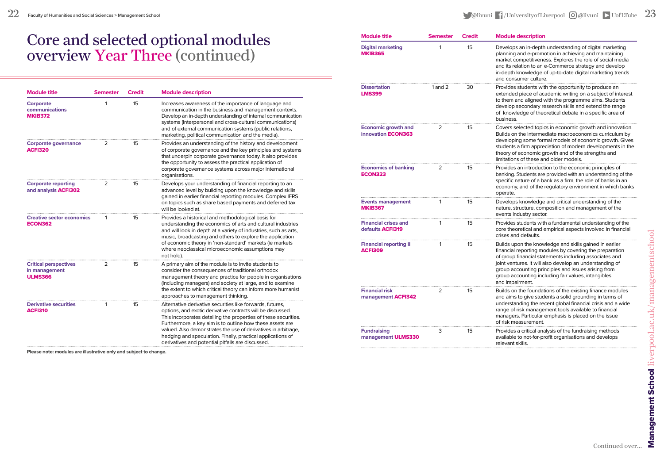## Core and selected optional modules overview Year Three (continued)

| <b>Module title</b>                                             | <b>Semester</b> | <b>Credit</b> | <b>Module description</b>                                                                                                                                                                                                                                                                                                                                                                                                                      |
|-----------------------------------------------------------------|-----------------|---------------|------------------------------------------------------------------------------------------------------------------------------------------------------------------------------------------------------------------------------------------------------------------------------------------------------------------------------------------------------------------------------------------------------------------------------------------------|
| Corporate<br>communications<br><b>MKIB372</b>                   | 1               | 15            | Increases awareness of the importance of language and<br>communication in the business and management contexts.<br>Develop an in-depth understanding of internal communication<br>systems (interpersonal and cross-cultural communications)<br>and of external communication systems (public relations,<br>marketing, political communication and the media).                                                                                  |
| <b>Corporate governance</b><br><b>ACFI320</b>                   | 2               | 15            | Provides an understanding of the history and development<br>of corporate governance and the key principles and systems<br>that underpin corporate governance today. It also provides<br>the opportunity to assess the practical application of<br>corporate governance systems across major international<br>organisations.                                                                                                                    |
| <b>Corporate reporting</b><br>and analysis ACFI302              | 2               | 15            | Develops your understanding of financial reporting to an<br>advanced level by building upon the knowledge and skills<br>gained in earlier financial reporting modules. Complex IFRS<br>on topics such as share based payments and deferred tax<br>will be looked at.                                                                                                                                                                           |
| <b>Creative sector economics</b><br><b>ECON362</b>              | 1               | 15            | Provides a historical and methodological basis for<br>understanding the economics of arts and cultural industries<br>and will look in depth at a variety of industries, such as arts,<br>music, broadcasting and others to explore the application<br>of economic theory in 'non-standard' markets (ie markets<br>where neoclassical microeconomic assumptions may<br>not hold).                                                               |
| <b>Critical perspectives</b><br>in management<br><b>ULMS366</b> | 2               | 15            | A primary aim of the module is to invite students to<br>consider the consequences of traditional orthodox<br>management theory and practice for people in organisations<br>(including managers) and society at large, and to examine<br>the extent to which critical theory can inform more humanist<br>approaches to management thinking.                                                                                                     |
| <b>Derivative securities</b><br><b>ACFI310</b>                  | 1               | 15            | Alternative derivative securities like forwards, futures,<br>options, and exotic derivative contracts will be discussed.<br>This incorporates detailing the properties of these securities.<br>Furthermore, a key aim is to outline how these assets are<br>valued. Also demonstrates the use of derivatives in arbitrage,<br>hedging and speculation. Finally, practical applications of<br>derivatives and potential pitfalls are discussed. |

| $22$ Faculty of Humanities and Social Sciences > Management School | <b>Maliyuni</b> T/University of Liverpool $\odot$ aliyuni Duof LTube 23 |  |
|--------------------------------------------------------------------|-------------------------------------------------------------------------|--|
|                                                                    |                                                                         |  |

| <b>Module title</b>                                     | <b>Semester</b> | <b>Credit</b> | <b>Module description</b>                                                                                                                                                                                                                                                                                                                                                |
|---------------------------------------------------------|-----------------|---------------|--------------------------------------------------------------------------------------------------------------------------------------------------------------------------------------------------------------------------------------------------------------------------------------------------------------------------------------------------------------------------|
| <b>Digital marketing</b><br><b>MKIB365</b>              | 1               | 15            | Develops an in-depth understanding of digital marketing<br>planning and e-promotion in achieving and maintaining<br>market competitiveness. Explores the role of social media<br>and its relation to an e-Commerce strategy and develop<br>in-depth knowledge of up-to-date digital marketing trends<br>and consumer culture.                                            |
| <b>Dissertation</b><br><b>LMS399</b>                    | 1 and 2         | 30            | Provides students with the opportunity to produce an<br>extended piece of academic writing on a subject of interest<br>to them and aligned with the programme aims. Students<br>develop secondary research skills and extend the range<br>of knowledge of theoretical debate in a specific area of<br>business.                                                          |
| <b>Economic growth and</b><br>innovation <b>ECON363</b> | 2               | 15            | Covers selected topics in economic growth and innovation.<br>Builds on the intermediate macroeconomics curriculum by<br>developing some formal models of economic growth. Gives<br>students a firm appreciation of modern developments in the<br>theory of economic growth and of the strengths and<br>limitations of these and older models.                            |
| <b>Economics of banking</b><br><b>ECON323</b>           | 2               | 15            | Provides an introduction to the economic principles of<br>banking. Students are provided with an understanding of the<br>specific nature of a bank as a firm, the role of banks in an<br>economy, and of the regulatory environment in which banks<br>operate.                                                                                                           |
| <b>Events management</b><br><b>MKIB367</b>              | 1               | 15            | Develops knowledge and critical understanding of the<br>nature, structure, composition and management of the<br>events industry sector.                                                                                                                                                                                                                                  |
| <b>Financial crises and</b><br>defaults ACFI319         | 1               | 15            | Provides students with a fundamental understanding of the<br>core theoretical and empirical aspects involved in financial<br>crises and defaults.                                                                                                                                                                                                                        |
| <b>Financial reporting II</b><br><b>ACFI309</b>         | 1               | 15            | Builds upon the knowledge and skills gained in earlier<br>financial reporting modules by covering the preparation<br>of group financial statements including associates and<br>joint ventures. It will also develop an understanding of<br>group accounting principles and issues arising from<br>group accounting including fair values, intangibles<br>and impairment. |
| <b>Financial risk</b><br>management ACFI342             | 2               | 15            | Builds on the foundations of the existing finance modules<br>and aims to give students a solid grounding in terms of<br>understanding the recent global financial crisis and a wide<br>range of risk management tools available to financial<br>managers. Particular emphasis is placed on the issue<br>of risk measurement.                                             |
| <b>Fundraising</b><br>management ULMS330                | 3               | 15            | Provides a critical analysis of the fundraising methods<br>available to not-for-profit organisations and develops<br>relevant skills.                                                                                                                                                                                                                                    |

**Please note: modules are illustrative only and subject to change.**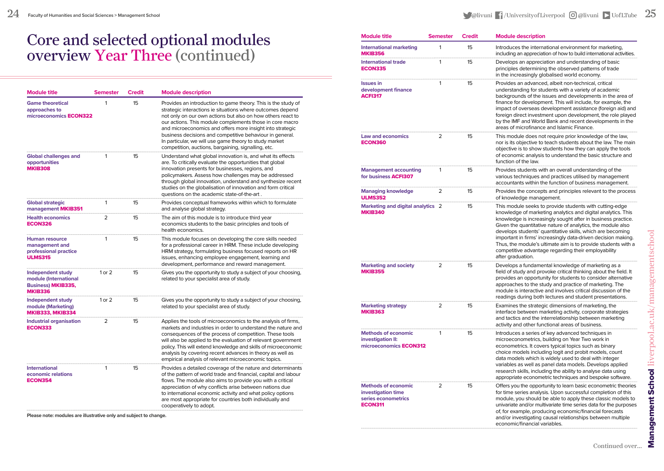## Core and selected optional modules overview Year Three (continued)

| <b>Module title</b>                                                                       | <b>Semester</b> | <b>Credit</b> | <b>Module description</b>                                                                                                                                                                                                                                                                                                                                                                                                                                                                        |
|-------------------------------------------------------------------------------------------|-----------------|---------------|--------------------------------------------------------------------------------------------------------------------------------------------------------------------------------------------------------------------------------------------------------------------------------------------------------------------------------------------------------------------------------------------------------------------------------------------------------------------------------------------------|
| <b>Game theoretical</b><br>approaches to<br>microeconomics <b>ECON322</b>                 | 1               | 15            | Provides an introduction to game theory. This is the study of<br>strategic interactions ie situations where outcomes depend<br>not only on our own actions but also on how others react to<br>our actions. This module complements those in core macro<br>and microeconomics and offers more insight into strategic<br>business decisions and competitive behaviour in general.<br>In particular, we will use game theory to study market<br>competition, auctions, bargaining, signalling, etc. |
| <b>Global challenges and</b><br>opportunities<br><b>MKIB308</b>                           | 1               | 15            | Understand what global innovation is, and what its effects<br>are. To critically evaluate the opportunities that global<br>innovation presents for businesses, regions, and<br>policymakers. Assess how challenges may be addressed<br>through global innovation, understand and synthesize recent<br>studies on the globalisation of innovation and form critical<br>questions on the academic state-of-the-art.                                                                                |
| <b>Global strategic</b><br>management MKIB351                                             | 1               | 15            | Provides conceptual frameworks within which to formulate<br>and analyse global strategy.                                                                                                                                                                                                                                                                                                                                                                                                         |
| <b>Health economics</b><br><b>ECON326</b>                                                 | 2               | 15            | The aim of this module is to introduce third year<br>economics students to the basic principles and tools of<br>health economics.                                                                                                                                                                                                                                                                                                                                                                |
| <b>Human resource</b><br>management and<br>professional practice<br><b>ULMS315</b>        | 1               | 15            | This module focuses on developing the core skills needed<br>for a professional career in HRM. These include developing<br>HRM strategy, formulating business focused reports on HR<br>issues, enhancing employee engagement, learning and<br>development, performance and reward management.                                                                                                                                                                                                     |
| Independent study<br>module (International<br><b>Business) MKIB335,</b><br><b>MKIB336</b> | $1$ or $2$      | 15            | Gives you the opportunity to study a subject of your choosing,<br>related to your specialist area of study.                                                                                                                                                                                                                                                                                                                                                                                      |
| Independent study<br>module (Marketing)<br><b>MKIB333, MKIB334</b>                        | $1$ or $2$      | 15            | Gives you the opportunity to study a subject of your choosing,<br>related to your specialist area of study.                                                                                                                                                                                                                                                                                                                                                                                      |
| <b>Industrial organisation</b><br><b>ECON333</b>                                          | 2               | 15            | Applies the tools of microeconomics to the analysis of firms,<br>markets and industries in order to understand the nature and<br>consequences of the process of competition. These tools<br>will also be applied to the evaluation of relevant government<br>policy. This will extend knowledge and skills of microeconomic<br>analysis by covering recent advances in theory as well as<br>empirical analysis of relevant microeconomic topics.                                                 |
| <b>International</b><br>economic relations<br><b>ECON354</b>                              | 1               | 15            | Provides a detailed coverage of the nature and determinants<br>of the pattern of world trade and financial, capital and labour<br>flows. The module also aims to provide you with a critical<br>appreciation of why conflicts arise between nations due<br>to international economic activity and what policy options<br>are most appropriate for countries both individually and<br>cooperatively to adopt.                                                                                     |

**Please note: modules are illustrative only and subject to change.**

| <b>Module title</b>                                                                       | <b>Semester</b> | <b>Credit</b> | <b>Module description</b>                                                                                                                                                                                                                                                                                                                                                                                                                                                                                                          |
|-------------------------------------------------------------------------------------------|-----------------|---------------|------------------------------------------------------------------------------------------------------------------------------------------------------------------------------------------------------------------------------------------------------------------------------------------------------------------------------------------------------------------------------------------------------------------------------------------------------------------------------------------------------------------------------------|
| <b>International marketing</b><br><b>MKIB356</b>                                          | 1               | 15            | Introduces the international environment for marketing,<br>including an appreciation of how to build international activities.                                                                                                                                                                                                                                                                                                                                                                                                     |
| International trade<br><b>ECON335</b>                                                     | 1               | 15            | Develops an appreciation and understanding of basic<br>principles determining the observed patterns of trade<br>in the increasingly globalised world economy.                                                                                                                                                                                                                                                                                                                                                                      |
| lssues in<br>development finance<br><b>ACFI317</b>                                        | 1               | 15            | Provides an advanced, albeit non-technical, critical<br>understanding for students with a variety of academic<br>backgrounds of the issues and developments in the area of<br>finance for development. This will include, for example, the<br>impact of overseas development assistance (foreign aid) and<br>foreign direct investment upon development, the role played<br>by the IMF and World Bank and recent developments in the<br>areas of microfinance and Islamic Finance.                                                 |
| <b>Law and economics</b><br><b>ECON360</b>                                                | 2               | 15            | This module does not require prior knowledge of the law,<br>nor is its objective to teach students about the law. The main<br>objective is to show students how they can apply the tools<br>of economic analysis to understand the basic structure and<br>function of the law.                                                                                                                                                                                                                                                     |
| <b>Management accounting</b><br>for business <b>ACFI307</b>                               | 1               | 15            | Provides students with an overall understanding of the<br>various techniques and practices utilised by management<br>accountants within the function of business management.                                                                                                                                                                                                                                                                                                                                                       |
| <b>Managing knowledge</b><br><b>ULMS352</b>                                               | 2               | 15            | Provides the concepts and principles relevant to the process<br>of knowledge management.                                                                                                                                                                                                                                                                                                                                                                                                                                           |
| Marketing and digital analytics 2<br><b>MKIB340</b>                                       |                 | 15            | This module seeks to provide students with cutting-edge<br>knowledge of marketing analytics and digital analytics. This<br>knowledge is increasingly sought after in business practice.<br>Given the quantitative nature of analytics, the module also<br>develops students' quantitative skills, which are becoming<br>important in firms' increasingly data-driven decision making.<br>Thus, the module's ultimate aim is to provide students with a<br>competitive advantage regarding their employability<br>after graduation. |
| Marketing and society<br><b>MKIB355</b>                                                   | 2               | 15            | Develops a fundamental knowledge of marketing as a<br>field of study and provoke critical thinking about the field. It<br>provides an opportunity for students to consider alternative<br>approaches to the study and practice of marketing. The<br>module is interactive and involves critical discussion of the<br>readings during both lectures and student presentations.                                                                                                                                                      |
| Marketing strategy<br><b>MKIB363</b>                                                      | 2               | 15            | Examines the strategic dimensions of marketing, the<br>interface between marketing activity, corporate strategies<br>and tactics and the interrelationship between marketing<br>activity and other functional areas of business.                                                                                                                                                                                                                                                                                                   |
| <b>Methods of economic</b><br>investigation II:<br>microeconomics <b>ECON312</b>          | 1               | 15            | Introduces a series of key advanced techniques in<br>microeconometrics, building on Year Two work in<br>econometrics. It covers typical topics such as binary<br>choice models including logit and probit models, count<br>data models which is widely used to deal with integer<br>variables as well as panel data models. Develops applied<br>research skills, including the ability to analyse data using<br>appropriate econometric techniques and bespoke software.                                                           |
| <b>Methods of economic</b><br>investigation time<br>series econometrics<br><b>ECON311</b> | 2               | 15            | Offers you the opportunity to learn basic econometric theories<br>for time series analysis. Upon successful completion of this<br>module, you should be able to apply these classic models to<br>univariate and/or multivariate time series data for the purposes<br>of, for example, producing economic/financial forecasts<br>and/or investigating causal relationships between multiple<br>economic/financial variables                                                                                                         |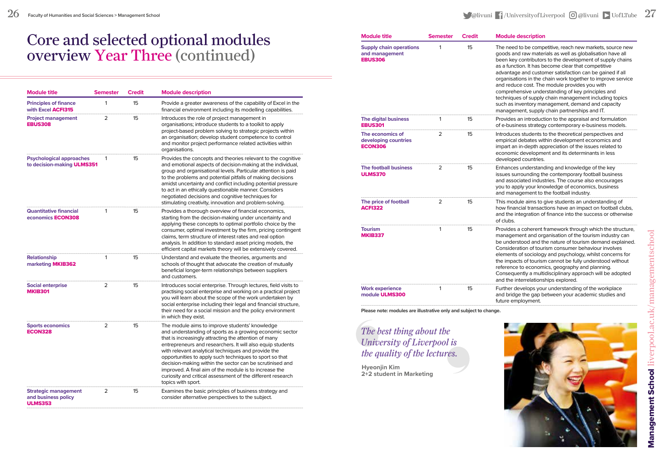## Core and selected optional modules overview Year Three (continued)

| <b>Module title</b>                                                  | <b>Semester</b> | <b>Credit</b> | <b>Module description</b>                                                                                                                                                                                                                                                                                                                                                                                                                                                                                                                                      |
|----------------------------------------------------------------------|-----------------|---------------|----------------------------------------------------------------------------------------------------------------------------------------------------------------------------------------------------------------------------------------------------------------------------------------------------------------------------------------------------------------------------------------------------------------------------------------------------------------------------------------------------------------------------------------------------------------|
| <b>Principles of finance</b><br>with Excel <b>ACFI315</b>            | 1               | 15            | Provide a greater awareness of the capability of Excel in the<br>financial environment including its modelling capabilities.                                                                                                                                                                                                                                                                                                                                                                                                                                   |
| <b>Project management</b><br><b>EBUS308</b>                          | 2               | 15            | Introduces the role of project management in<br>organisations; introduce students to a toolkit to apply<br>project-based problem solving to strategic projects within<br>an organisation; develop student competence to control<br>and monitor project performance related activities within<br>organisations.                                                                                                                                                                                                                                                 |
| <b>Psychological approaches</b><br>to decision-making ULMS351        |                 | 15            | Provides the concepts and theories relevant to the cognitive<br>and emotional aspects of decision-making at the individual,<br>group and organisational levels. Particular attention is paid<br>to the problems and potential pitfalls of making decisions<br>amidst uncertainty and conflict including potential pressure<br>to act in an ethically questionable manner. Considers<br>negotiated decisions and cognitive techniques for<br>stimulating creativity, innovation and problem-solving.                                                            |
| <b>Quantitative financial</b><br>economics <b>ECON308</b>            |                 | 15            | Provides a thorough overview of financial economics,<br>starting from the decision-making under uncertainty and<br>applying these concepts to optimal portfolio choice by the<br>consumer, optimal investment by the firm, pricing contingent<br>claims, term structure of interest rates and real option<br>analysis. In addition to standard asset pricing models, the<br>efficient capital markets theory will be extensively covered.                                                                                                                      |
| <b>Relationship</b><br>marketing MKIB362                             | 1               | 15            | Understand and evaluate the theories, arguments and<br>schools of thought that advocate the creation of mutually<br>beneficial longer-term relationships between suppliers<br>and customers.                                                                                                                                                                                                                                                                                                                                                                   |
| Social enterprise<br><b>MKIB301</b>                                  | 2               | 15            | Introduces social enterprise. Through lectures, field visits to<br>practising social enterprise and working on a practical project<br>you will learn about the scope of the work undertaken by<br>social enterprise including their legal and financial structure,<br>their need for a social mission and the policy environment<br>in which they exist.                                                                                                                                                                                                       |
| <b>Sports economics</b><br><b>ECON328</b>                            | 2               | 15            | The module aims to improve students' knowledge<br>and understanding of sports as a growing economic sector<br>that is increasingly attracting the attention of many<br>entrepreneurs and researchers. It will also equip students<br>with relevant analytical techniques and provide the<br>opportunities to apply such techniques to sport so that<br>decision-making within the sector can be scrutinised and<br>improved. A final aim of the module is to increase the<br>curiosity and critical assessment of the different research<br>topics with sport. |
| <b>Strategic management</b><br>and business policy<br><b>ULMS353</b> | 2               | 15            | Examines the basic principles of business strategy and<br>consider alternative perspectives to the subject.                                                                                                                                                                                                                                                                                                                                                                                                                                                    |

| <b>Module title</b>                                                | <b>Semester</b> | <b>Credit</b> | <b>Module description</b>                                                                                                                                                                                                                                                                                                                                                                                                                                                                                                                                                                                                                   |
|--------------------------------------------------------------------|-----------------|---------------|---------------------------------------------------------------------------------------------------------------------------------------------------------------------------------------------------------------------------------------------------------------------------------------------------------------------------------------------------------------------------------------------------------------------------------------------------------------------------------------------------------------------------------------------------------------------------------------------------------------------------------------------|
| <b>Supply chain operations</b><br>and management<br><b>EBUS306</b> | 1               | 15            | The need to be competitive, reach new markets, source new<br>goods and raw materials as well as globalisation have all<br>been key contributors to the development of supply chains<br>as a function. It has become clear that competitive<br>advantage and customer satisfaction can be gained if all<br>organisations in the chain work together to improve service<br>and reduce cost. The module provides you with<br>comprehensive understanding of key principles and<br>techniques of supply chain management including topics<br>such as inventory management, demand and capacity<br>management, supply chain partnerships and IT. |
| The digital business<br><b>EBUS301</b>                             | 1               | 15            | Provides an introduction to the appraisal and formulation<br>of e-business strategy contemporary e-business models.                                                                                                                                                                                                                                                                                                                                                                                                                                                                                                                         |
| The economics of<br>developing countries<br><b>ECON306</b>         | 2               | 15            | Introduces students to the theoretical perspectives and<br>empirical debates within development economics and<br>impart an in-depth appreciation of the issues related to<br>economic development and its determinants in less<br>developed countries.                                                                                                                                                                                                                                                                                                                                                                                      |
| The football business<br><b>ULMS370</b>                            | 2               | 15            | Enhances understanding and knowledge of the key<br>issues surrounding the contemporary football business<br>and associated industries. The course also encourages<br>you to apply your knowledge of economics, business<br>and management to the football industry.                                                                                                                                                                                                                                                                                                                                                                         |
| The price of football<br><b>ACFI322</b>                            | 2               | 15            | This module aims to give students an understanding of<br>how financial transactions have an impact on football clubs,<br>and the integration of finance into the success or otherwise<br>of clubs.                                                                                                                                                                                                                                                                                                                                                                                                                                          |
| <b>Tourism</b><br><b>MKIB337</b>                                   | 1               | 15            | Provides a coherent framework through which the structure,<br>management and organisation of the tourism industry can<br>be understood and the nature of tourism demand explained.<br>Consideration of tourism consumer behaviour involves<br>elements of sociology and psychology, whilst concerns for<br>the impacts of tourism cannot be fully understood without<br>reference to economics, geography and planning.<br>Consequently a multidisciplinary approach will be adopted<br>and the interrelationships explored.                                                                                                                |
| <b>Work experience</b><br>module ULMS300                           | 1               | 15            | Further develops your understanding of the workplace<br>and bridge the gap between your academic studies and<br>future employment.                                                                                                                                                                                                                                                                                                                                                                                                                                                                                                          |

**Please note: modules are illustrative only and subject to change.**

#### *The best thing about the University of Liverpool is the quality of the lectures.*

**Hyeonjin Kim 2+2 student in Marketing**

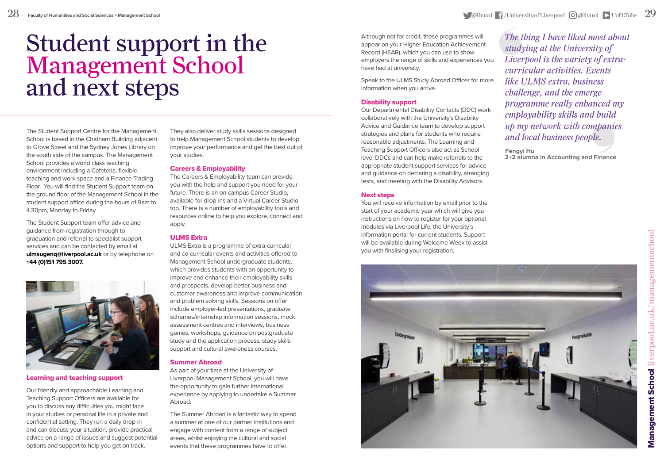## Student support in the Management School and next steps

The Student Support Centre for the Management School is based in the Chatham Building adjacent to Grove Street and the Sydney Jones Library on the south side of the campus. The Management School provides a world class teaching environment including a Cafeteria, flexible teaching and work space and a Finance Trading Floor. You will find the Student Support team on the ground floor of the Management School in the student support office during the hours of 9am to 4.30pm, Monday to Friday.

The Student Support team offer advice and guidance from registration through to graduation and referral to specialist support services and can be contacted by email at **ulmsugenq@liverpool.ac.uk** or by telephone on **+44 (0)151 795 3007.**



#### Learning and teaching support

Our friendly and approachable Learning and Teaching Support Officers are available for you to discuss any difficulties you might face in your studies or personal life in a private and confidential setting. They run a daily drop-in and can discuss your situation, provide practical advice on a range of issues and suggest potential options and support to help you get on track.

They also deliver study skills sessions designed to help Management School students to develop, improve your performance and get the best out of your studies.

#### Careers & Employability

The Careers & Employability team can provide you with the help and support you need for your future. There is an on-campus Career Studio, available for drop-ins and a Virtual Career Studio too. There is a number of employability tools and resources online to help you explore, connect and apply.

#### ULMS Extra

ULMS Extra is a programme of extra-curricular and co-curricular events and activities offered to Management School undergraduate students, which provides students with an opportunity to improve and enhance their employability skills and prospects, develop better business and customer awareness and improve communication and problem solving skills. Sessions on offer include employer-led presentations, graduate schemes/internship information sessions, mock assessment centres and interviews, business games, workshops, guidance on postgraduate study and the application process, study skills support and cultural awareness courses.

#### Summer Abroad

As part of your time at the University of Liverpool Management School, you will have the opportunity to gain further international experience by applying to undertake a Summer Abroad.

The Summer Abroad is a fantastic way to spend a summer at one of our partner institutions and engage with content from a range of subject areas, whilst enjoying the cultural and social events that these programmes have to offer.

Although not for credit, these programmes will appear on your Higher Education Achievement Record (HEAR), which you can use to show employers the range of skills and experiences you have had at university.

Speak to the ULMS Study Abroad Officer for more information when you arrive.

#### Disability support

Our Departmental Disability Contacts (DDC) work collaboratively with the University's Disability Advice and Guidance team to develop support strategies and plans for students who require reasonable adjustments. The Learning and Teaching Support Officers also act as School level DDCs and can help make referrals to the appropriate student support services for advice and guidance on declaring a disability, arranging tests, and meeting with the Disability Advisors.

#### Next steps

You will receive information by email prior to the start of your academic year which will give you instructions on how to register for your optional modules via Liverpool Life, the University's information portal for current students. Support will be available during Welcome Week to assist you with finalising your registration.

*The thing I have liked most about studying at the University of Liverpool is the variety of extracurricular activities. Events like ULMS extra, business challenge, and the emerge programme really enhanced my employability skills and build up my network with companies and local business people.*

**Fengyi Hu 2+2 alumna in Accounting and Finance**